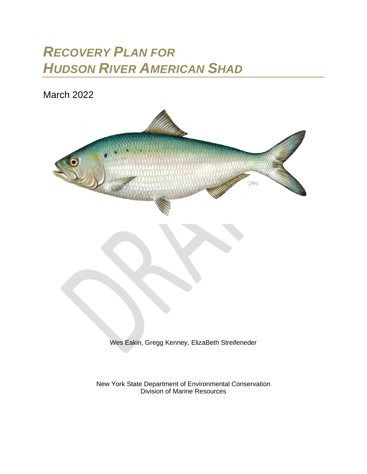# *RECOVERY PLAN FOR HUDSON RIVER AMERICAN SHAD*

March 2022



Wes Eakin, Gregg Kenney, ElizaBeth Streifeneder

New York State Department of Environmental Conservation Division of Marine Resources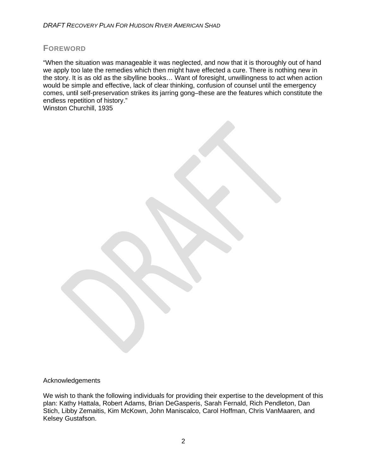#### **FOREWORD**

"When the situation was manageable it was neglected, and now that it is thoroughly out of hand we apply too late the remedies which then might have effected a cure. There is nothing new in the story. It is as old as the sibylline books… Want of foresight, unwillingness to act when action would be simple and effective, lack of clear thinking, confusion of counsel until the emergency comes, until self-preservation strikes its jarring gong–these are the features which constitute the endless repetition of history." Winston Churchill, 1935

Acknowledgements

We wish to thank the following individuals for providing their expertise to the development of this plan: Kathy Hattala, Robert Adams, Brian DeGasperis, Sarah Fernald, Rich Pendleton, Dan Stich, Libby Zemaitis, Kim McKown, John Maniscalco, Carol Hoffman, Chris VanMaaren, and Kelsey Gustafson.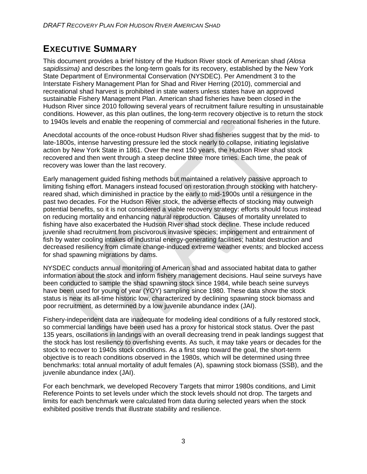## **EXECUTIVE SUMMARY**

This document provides a brief history of the Hudson River stock of American shad *(Alosa sapidissima)* and describes the long-term goals for its recovery, established by the New York State Department of Environmental Conservation (NYSDEC). Per Amendment 3 to the Interstate Fishery Management Plan for Shad and River Herring (2010), commercial and recreational shad harvest is prohibited in state waters unless states have an approved sustainable Fishery Management Plan. American shad fisheries have been closed in the Hudson River since 2010 following several years of recruitment failure resulting in unsustainable conditions. However, as this plan outlines, the long-term recovery objective is to return the stock to 1940s levels and enable the reopening of commercial and recreational fisheries in the future.

Anecdotal accounts of the once-robust Hudson River shad fisheries suggest that by the mid- to late-1800s, intense harvesting pressure led the stock nearly to collapse, initiating legislative action by New York State in 1861. Over the next 150 years, the Hudson River shad stock recovered and then went through a steep decline three more times. Each time, the peak of recovery was lower than the last recovery.

Early management guided fishing methods but maintained a relatively passive approach to limiting fishing effort. Managers instead focused on restoration through stocking with hatcheryreared shad, which diminished in practice by the early to mid-1900s until a resurgence in the past two decades. For the Hudson River stock, the adverse effects of stocking may outweigh potential benefits, so it is not considered a viable recovery strategy: efforts should focus instead on reducing mortality and enhancing natural reproduction. Causes of mortality unrelated to fishing have also exacerbated the Hudson River shad stock decline. These include reduced juvenile shad recruitment from piscivorous invasive species; impingement and entrainment of fish by water cooling intakes of industrial energy-generating facilities; habitat destruction and decreased resiliency from climate change-induced extreme weather events; and blocked access for shad spawning migrations by dams.

NYSDEC conducts annual monitoring of American shad and associated habitat data to gather information about the stock and inform fishery management decisions. Haul seine surveys have been conducted to sample the shad spawning stock since 1984, while beach seine surveys have been used for young of year (YOY) sampling since 1980. These data show the stock status is near its all-time historic low, characterized by declining spawning stock biomass and poor recruitment, as determined by a low juvenile abundance index (JAI).

Fishery-independent data are inadequate for modeling ideal conditions of a fully restored stock, so commercial landings have been used has a proxy for historical stock status. Over the past 135 years, oscillations in landings with an overall decreasing trend in peak landings suggest that the stock has lost resiliency to overfishing events. As such, it may take years or decades for the stock to recover to 1940s stock conditions. As a first step toward the goal, the short-term objective is to reach conditions observed in the 1980s, which will be determined using three benchmarks: total annual mortality of adult females (A), spawning stock biomass (SSB), and the juvenile abundance index (JAI).

For each benchmark, we developed Recovery Targets that mirror 1980s conditions, and Limit Reference Points to set levels under which the stock levels should not drop. The targets and limits for each benchmark were calculated from data during selected years when the stock exhibited positive trends that illustrate stability and resilience.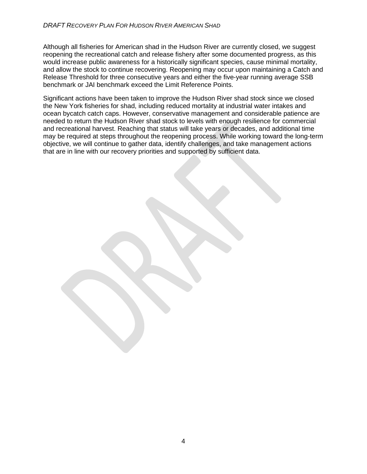#### *DRAFT RECOVERY PLAN FOR HUDSON RIVER AMERICAN SHAD*

Although all fisheries for American shad in the Hudson River are currently closed, we suggest reopening the recreational catch and release fishery after some documented progress, as this would increase public awareness for a historically significant species, cause minimal mortality, and allow the stock to continue recovering. Reopening may occur upon maintaining a Catch and Release Threshold for three consecutive years and either the five-year running average SSB benchmark or JAI benchmark exceed the Limit Reference Points.

Significant actions have been taken to improve the Hudson River shad stock since we closed the New York fisheries for shad, including reduced mortality at industrial water intakes and ocean bycatch catch caps. However, conservative management and considerable patience are needed to return the Hudson River shad stock to levels with enough resilience for commercial and recreational harvest. Reaching that status will take years or decades, and additional time may be required at steps throughout the reopening process. While working toward the long-term objective, we will continue to gather data, identify challenges, and take management actions that are in line with our recovery priorities and supported by sufficient data.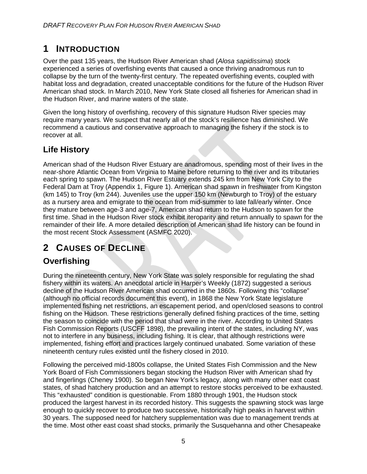# **1 INTRODUCTION**

Over the past 135 years, the Hudson River American shad (*Alosa sapidissima*) stock experienced a series of overfishing events that caused a once thriving anadromous run to collapse by the turn of the twenty-first century. The repeated overfishing events, coupled with habitat loss and degradation, created unacceptable conditions for the future of the Hudson River American shad stock. In March 2010, New York State closed all fisheries for American shad in the Hudson River, and marine waters of the state.

Given the long history of overfishing, recovery of this signature Hudson River species may require many years. We suspect that nearly all of the stock's resilience has diminished. We recommend a cautious and conservative approach to managing the fishery if the stock is to recover at all.

### **Life History**

American shad of the Hudson River Estuary are anadromous, spending most of their lives in the near-shore Atlantic Ocean from Virginia to Maine before returning to the river and its tributaries each spring to spawn. The Hudson River Estuary extends 245 km from New York City to the Federal Dam at Troy (Appendix 1, Figure 1). American shad spawn in freshwater from Kingston (km 145) to Troy (km 244). Juveniles use the upper 150 km (Newburgh to Troy) of the estuary as a nursery area and emigrate to the ocean from mid-summer to late fall/early winter. Once they mature between age-3 and age-7, American shad return to the Hudson to spawn for the first time. Shad in the Hudson River stock exhibit iteroparity and return annually to spawn for the remainder of their life. A more detailed description of American shad life history can be found in the most recent Stock Assessment (ASMFC 2020).

# **2 CAUSES OF DECLINE**

# **Overfishing**

During the nineteenth century, New York State was solely responsible for regulating the shad fishery within its waters. An anecdotal article in Harper's Weekly (1872) suggested a serious decline of the Hudson River American shad occurred in the 1860s. Following this "collapse" (although no official records document this event), in 1868 the New York State legislature implemented fishing net restrictions, an escapement period, and open/closed seasons to control fishing on the Hudson. These restrictions generally defined fishing practices of the time, setting the season to coincide with the period that shad were in the river. According to United States Fish Commission Reports (USCFF 1898), the prevailing intent of the states, including NY, was not to interfere in any business, including fishing. It is clear, that although restrictions were implemented, fishing effort and practices largely continued unabated. Some variation of these nineteenth century rules existed until the fishery closed in 2010.

Following the perceived mid-1800s collapse, the United States Fish Commission and the New York Board of Fish Commissioners began stocking the Hudson River with American shad fry and fingerlings (Cheney 1900). So began New York's legacy, along with many other east coast states, of shad hatchery production and an attempt to restore stocks perceived to be exhausted. This "exhausted" condition is questionable. From 1880 through 1901, the Hudson stock produced the largest harvest in its recorded history. This suggests the spawning stock was large enough to quickly recover to produce two successive, historically high peaks in harvest within 30 years. The supposed need for hatchery supplementation was due to management trends at the time. Most other east coast shad stocks, primarily the Susquehanna and other Chesapeake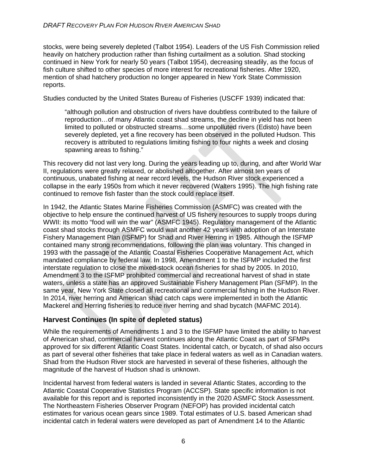stocks, were being severely depleted (Talbot 1954). Leaders of the US Fish Commission relied heavily on hatchery production rather than fishing curtailment as a solution. Shad stocking continued in New York for nearly 50 years (Talbot 1954), decreasing steadily, as the focus of fish culture shifted to other species of more interest for recreational fisheries. After 1920, mention of shad hatchery production no longer appeared in New York State Commission reports.

Studies conducted by the United States Bureau of Fisheries (USCFF 1939) indicated that:

"although pollution and obstruction of rivers have doubtless contributed to the failure of reproduction…of many Atlantic coast shad streams, the decline in yield has not been limited to polluted or obstructed streams…some unpolluted rivers (Edisto) have been severely depleted, yet a fine recovery has been observed in the polluted Hudson. This recovery is attributed to regulations limiting fishing to four nights a week and closing spawning areas to fishing."

This recovery did not last very long. During the years leading up to, during, and after World War II, regulations were greatly relaxed, or abolished altogether. After almost ten years of continuous, unabated fishing at near record levels, the Hudson River stock experienced a collapse in the early 1950s from which it never recovered (Walters 1995). The high fishing rate continued to remove fish faster than the stock could replace itself.

In 1942, the Atlantic States Marine Fisheries Commission (ASMFC) was created with the objective to help ensure the continued harvest of US fishery resources to supply troops during WWII: its motto "food will win the war" (ASMFC 1945). Regulatory management of the Atlantic coast shad stocks through ASMFC would wait another 42 years with adoption of an Interstate Fishery Management Plan (ISFMP) for Shad and River Herring in 1985. Although the ISFMP contained many strong recommendations, following the plan was voluntary. This changed in 1993 with the passage of the Atlantic Coastal Fisheries Cooperative Management Act, which mandated compliance by federal law. In 1998, Amendment 1 to the ISFMP included the first interstate regulation to close the mixed‐stock ocean fisheries for shad by 2005. In 2010, Amendment 3 to the ISFMP prohibited commercial and recreational harvest of shad in state waters, unless a state has an approved Sustainable Fishery Management Plan (SFMP). In the same year, New York State closed all recreational and commercial fishing in the Hudson River. In 2014, river herring and American shad catch caps were implemented in both the Atlantic Mackerel and Herring fisheries to reduce river herring and shad bycatch (MAFMC 2014).

#### **Harvest Continues (In spite of depleted status)**

While the requirements of Amendments 1 and 3 to the ISFMP have limited the ability to harvest of American shad, commercial harvest continues along the Atlantic Coast as part of SFMPs approved for six different Atlantic Coast States. Incidental catch, or bycatch, of shad also occurs as part of several other fisheries that take place in federal waters as well as in Canadian waters. Shad from the Hudson River stock are harvested in several of these fisheries, although the magnitude of the harvest of Hudson shad is unknown.

Incidental harvest from federal waters is landed in several Atlantic States, according to the Atlantic Coastal Cooperative Statistics Program (ACCSP). State specific information is not available for this report and is reported inconsistently in the 2020 ASMFC Stock Assessment. The Northeastern Fisheries Observer Program (NEFOP) has provided incidental catch estimates for various ocean gears since 1989. Total estimates of U.S. based American shad incidental catch in federal waters were developed as part of Amendment 14 to the Atlantic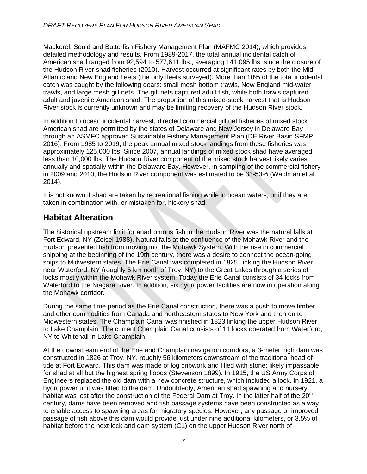Mackerel, Squid and Butterfish Fishery Management Plan (MAFMC 2014), which provides detailed methodology and results. From 1989-2017, the total annual incidental catch of American shad ranged from 92,594 to 577,611 lbs., averaging 141,095 lbs. since the closure of the Hudson River shad fisheries (2010). Harvest occurred at significant rates by both the Mid-Atlantic and New England fleets (the only fleets surveyed). More than 10% of the total incidental catch was caught by the following gears: small mesh bottom trawls, New England mid-water trawls, and large mesh gill nets. The gill nets captured adult fish, while both trawls captured adult and juvenile American shad. The proportion of this mixed-stock harvest that is Hudson River stock is currently unknown and may be limiting recovery of the Hudson River stock.

In addition to ocean incidental harvest, directed commercial gill net fisheries of mixed stock American shad are permitted by the states of Delaware and New Jersey in Delaware Bay through an ASMFC approved Sustainable Fishery Management Plan (DE River Basin SFMP 2016). From 1985 to 2019, the peak annual mixed stock landings from these fisheries was approximately 125,000 lbs. Since 2007, annual landings of mixed stock shad have averaged less than 10,000 lbs. The Hudson River component of the mixed stock harvest likely varies annually and spatially within the Delaware Bay. However, in sampling of the commercial fishery in 2009 and 2010, the Hudson River component was estimated to be 33-53% (Waldman et al. 2014).

It is not known if shad are taken by recreational fishing while in ocean waters, or if they are taken in combination with, or mistaken for, hickory shad.

### **Habitat Alteration**

The historical upstream limit for anadromous fish in the Hudson River was the natural falls at Fort Edward, NY (Zeisel 1988). Natural falls at the confluence of the Mohawk River and the Hudson prevented fish from moving into the Mohawk System. With the rise in commercial shipping at the beginning of the 19th century, there was a desire to connect the ocean‐going ships to Midwestern states. The Erie Canal was completed in 1825, linking the Hudson River near Waterford, NY (roughly 5 km north of Troy, NY) to the Great Lakes through a series of locks mostly within the Mohawk River system. Today the Erie Canal consists of 34 locks from Waterford to the Niagara River. In addition, six hydropower facilities are now in operation along the Mohawk corridor.

During the same time period as the Erie Canal construction, there was a push to move timber and other commodities from Canada and northeastern states to New York and then on to Midwestern states. The Champlain Canal was finished in 1823 linking the upper Hudson River to Lake Champlain. The current Champlain Canal consists of 11 locks operated from Waterford, NY to Whitehall in Lake Champlain.

At the downstream end of the Erie and Champlain navigation corridors, a 3‐meter high dam was constructed in 1826 at Troy, NY, roughly 56 kilometers downstream of the traditional head of tide at Fort Edward. This dam was made of log cribwork and filled with stone; likely impassable for shad at all but the highest spring floods (Stevenson 1899). In 1915, the US Army Corps of Engineers replaced the old dam with a new concrete structure, which included a lock. In 1921, a hydropower unit was fitted to the dam. Undoubtedly, American shad spawning and nursery habitat was lost after the construction of the Federal Dam at Troy. In the latter half of the 20<sup>th</sup> century, dams have been removed and fish passage systems have been constructed as a way to enable access to spawning areas for migratory species. However, any passage or improved passage of fish above this dam would provide just under nine additional kilometers, or 3.5% of habitat before the next lock and dam system (C1) on the upper Hudson River north of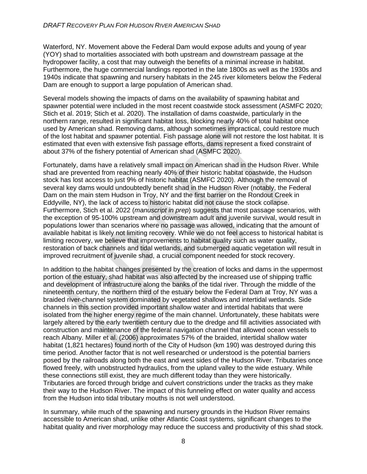Waterford, NY. Movement above the Federal Dam would expose adults and young of year (YOY) shad to mortalities associated with both upstream and downstream passage at the hydropower facility, a cost that may outweigh the benefits of a minimal increase in habitat. Furthermore, the huge commercial landings reported in the late 1800s as well as the 1930s and 1940s indicate that spawning and nursery habitats in the 245 river kilometers below the Federal Dam are enough to support a large population of American shad.

Several models showing the impacts of dams on the availability of spawning habitat and spawner potential were included in the most recent coastwide stock assessment (ASMFC 2020; Stich et al. 2019; Stich et al. 2020). The installation of dams coastwide, particularly in the northern range, resulted in significant habitat loss, blocking nearly 40% of total habitat once used by American shad. Removing dams, although sometimes impractical, could restore much of the lost habitat and spawner potential. Fish passage alone will not restore the lost habitat. It is estimated that even with extensive fish passage efforts, dams represent a fixed constraint of about 37% of the fishery potential of American shad (ASMFC 2020).

Fortunately, dams have a relatively small impact on American shad in the Hudson River. While shad are prevented from reaching nearly 40% of their historic habitat coastwide, the Hudson stock has lost access to just 9% of historic habitat (ASMFC 2020). Although the removal of several key dams would undoubtedly benefit shad in the Hudson River (notably, the Federal Dam on the main stem Hudson in Troy, NY and the first barrier on the Rondout Creek in Eddyville, NY), the lack of access to historic habitat did not cause the stock collapse. Furthermore, Stich et al. 2022 (*manuscript in prep*) suggests that most passage scenarios, with the exception of 95-100% upstream and downstream adult and juvenile survival, would result in populations lower than scenarios where no passage was allowed, indicating that the amount of available habitat is likely not limiting recovery. While we do not feel access to historical habitat is limiting recovery, we believe that improvements to habitat quality such as water quality, restoration of back channels and tidal wetlands, and submerged aquatic vegetation will result in improved recruitment of juvenile shad, a crucial component needed for stock recovery.

In addition to the habitat changes presented by the creation of locks and dams in the uppermost portion of the estuary, shad habitat was also affected by the increased use of shipping traffic and development of infrastructure along the banks of the tidal river. Through the middle of the nineteenth century, the northern third of the estuary below the Federal Dam at Troy, NY was a braided river‐channel system dominated by vegetated shallows and intertidal wetlands. Side channels in this section provided important shallow water and intertidal habitats that were isolated from the higher energy regime of the main channel. Unfortunately, these habitats were largely altered by the early twentieth century due to the dredge and fill activities associated with construction and maintenance of the federal navigation channel that allowed ocean vessels to reach Albany. Miller et al. (2006) approximates 57% of the braided, intertidal shallow water habitat (1,821 hectares) found north of the City of Hudson (km 190) was destroyed during this time period. Another factor that is not well researched or understood is the potential barriers posed by the railroads along both the east and west sides of the Hudson River. Tributaries once flowed freely, with unobstructed hydraulics, from the upland valley to the wide estuary. While these connections still exist, they are much different today than they were historically. Tributaries are forced through bridge and culvert constrictions under the tracks as they make their way to the Hudson River. The impact of this funneling effect on water quality and access from the Hudson into tidal tributary mouths is not well understood.

In summary, while much of the spawning and nursery grounds in the Hudson River remains accessible to American shad, unlike other Atlantic Coast systems, significant changes to the habitat quality and river morphology may reduce the success and productivity of this shad stock.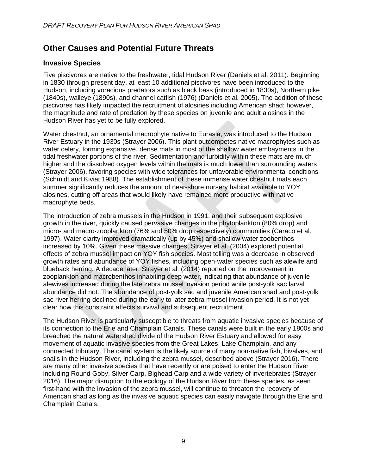### **Other Causes and Potential Future Threats**

#### **Invasive Species**

Five piscivores are native to the freshwater, tidal Hudson River (Daniels et al. 2011). Beginning in 1830 through present day, at least 10 additional piscivores have been introduced to the Hudson, including voracious predators such as black bass (introduced in 1830s), Northern pike (1840s), walleye (1890s), and channel catfish (1976) (Daniels et al. 2005). The addition of these piscivores has likely impacted the recruitment of alosines including American shad; however, the magnitude and rate of predation by these species on juvenile and adult alosines in the Hudson River has yet to be fully explored.

Water chestnut, an ornamental macrophyte native to Eurasia, was introduced to the Hudson River Estuary in the 1930s (Strayer 2006). This plant outcompetes native macrophytes such as water celery, forming expansive, dense mats in most of the shallow water embayments in the tidal freshwater portions of the river. Sedimentation and turbidity within these mats are much higher and the dissolved oxygen levels within the mats is much lower than surrounding waters (Strayer 2006), favoring species with wide tolerances for unfavorable environmental conditions (Schmidt and Kiviat 1988). The establishment of these immense water chestnut mats each summer significantly reduces the amount of near-shore nursery habitat available to YOY alosines, cutting off areas that would likely have remained more productive with native macrophyte beds.

The introduction of zebra mussels in the Hudson in 1991, and their subsequent explosive growth in the river, quickly caused pervasive changes in the phytoplankton (80% drop) and micro‐ and macro‐zooplankton (76% and 50% drop respectively) communities (Caraco et al. 1997). Water clarity improved dramatically (up by 45%) and shallow water zoobenthos increased by 10%. Given these massive changes, Strayer et al. (2004) explored potential effects of zebra mussel impact on YOY fish species. Most telling was a decrease in observed growth rates and abundance of YOY fishes, including open‐water species such as alewife and blueback herring. A decade later, Strayer et al. (2014) reported on the improvement in zooplankton and macrobenthos inhabiting deep water, indicating that abundance of juvenile alewives increased during the late zebra mussel invasion period while post‐yolk sac larval abundance did not. The abundance of post‐yolk sac and juvenile American shad and post‐yolk sac river herring declined during the early to later zebra mussel invasion period. It is not yet clear how this constraint affects survival and subsequent recruitment.

The Hudson River is particularly susceptible to threats from aquatic invasive species because of its connection to the Erie and Champlain Canals. These canals were built in the early 1800s and breached the natural watershed divide of the Hudson River Estuary and allowed for easy movement of aquatic invasive species from the Great Lakes, Lake Champlain, and any connected tributary. The canal system is the likely source of many non-native fish, bivalves, and snails in the Hudson River, including the zebra mussel, described above (Strayer 2016). There are many other invasive species that have recently or are poised to enter the Hudson River including Round Goby, Silver Carp, Bighead Carp and a wide variety of invertebrates (Strayer 2016). The major disruption to the ecology of the Hudson River from these species, as seen first-hand with the invasion of the zebra mussel, will continue to threaten the recovery of American shad as long as the invasive aquatic species can easily navigate through the Erie and Champlain Canals.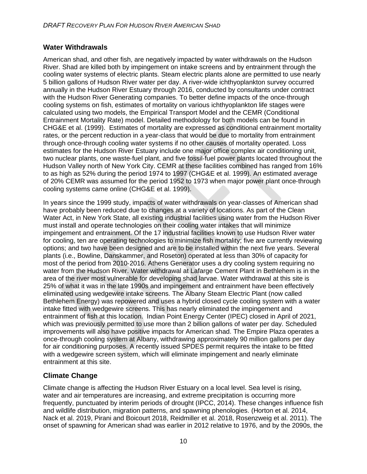#### **Water Withdrawals**

American shad, and other fish, are negatively impacted by water withdrawals on the Hudson River. Shad are killed both by impingement on intake screens and by entrainment through the cooling water systems of electric plants. Steam electric plants alone are permitted to use nearly 5 billion gallons of Hudson River water per day. A river‐wide ichthyoplankton survey occurred annually in the Hudson River Estuary through 2016, conducted by consultants under contract with the Hudson River Generating companies. To better define impacts of the once-through cooling systems on fish, estimates of mortality on various ichthyoplankton life stages were calculated using two models, the Empirical Transport Model and the CEMR (Conditional Entrainment Mortality Rate) model. Detailed methodology for both models can be found in CHG&E et al. (1999). Estimates of mortality are expressed as conditional entrainment mortality rates, or the percent reduction in a year-class that would be due to mortality from entrainment through once‐through cooling water systems if no other causes of mortality operated. Loss estimates for the Hudson River Estuary include one major office complex air conditioning unit, two nuclear plants, one waste‐fuel plant, and five fossil‐fuel power plants located throughout the Hudson Valley north of New York City. CEMR at these facilities combined has ranged from 16% to as high as 52% during the period 1974 to 1997 (CHG&E et al. 1999). An estimated average of 20% CEMR was assumed for the period 1952 to 1973 when major power plant once‐through cooling systems came online (CHG&E et al. 1999).

In years since the 1999 study, impacts of water withdrawals on year‐classes of American shad have probably been reduced due to changes at a variety of locations. As part of the Clean Water Act, in New York State, all existing industrial facilities using water from the Hudson River must install and operate technologies on their cooling water intakes that will minimize impingement and entrainment. Of the 17 industrial facilities known to use Hudson River water for cooling, ten are operating technologies to minimize fish mortality; five are currently reviewing options; and two have been designed and are to be installed within the next five years. Several plants (i.e., Bowline, Danskammer, and Roseton) operated at less than 30% of capacity for most of the period from 2010‐2016. Athens Generator uses a dry cooling system requiring no water from the Hudson River. Water withdrawal at Lafarge Cement Plant in Bethlehem is in the area of the river most vulnerable for developing shad larvae. Water withdrawal at this site is 25% of what it was in the late 1990s and impingement and entrainment have been effectively eliminated using wedgewire intake screens. The Albany Steam Electric Plant (now called Bethlehem Energy) was repowered and uses a hybrid closed cycle cooling system with a water intake fitted with wedgewire screens. This has nearly eliminated the impingement and entrainment of fish at this location. Indian Point Energy Center (IPEC) closed in April of 2021, which was previously permitted to use more than 2 billion gallons of water per day. Scheduled improvements will also have positive impacts for American shad. The Empire Plaza operates a once-through cooling system at Albany, withdrawing approximately 90 million gallons per day for air conditioning purposes. A recently issued SPDES permit requires the intake to be fitted with a wedgewire screen system, which will eliminate impingement and nearly eliminate entrainment at this site.

### **Climate Change**

Climate change is affecting the Hudson River Estuary on a local level. Sea level is rising, water and air temperatures are increasing, and extreme precipitation is occurring more frequently, punctuated by interim periods of drought (IPCC, 2014). These changes influence fish and wildlife distribution, migration patterns, and spawning phenologies. (Horton et al. 2014, Nack et al. 2019, Pirani and Boicourt 2018, Reidmiller et al. 2018, Rosenzweig et al. 2011). The onset of spawning for American shad was earlier in 2012 relative to 1976, and by the 2090s, the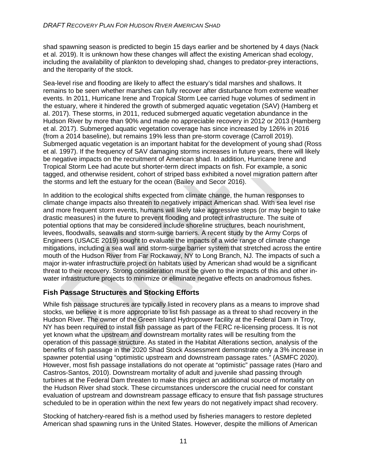shad spawning season is predicted to begin 15 days earlier and be shortened by 4 days (Nack et al. 2019). It is unknown how these changes will affect the existing American shad ecology, including the availability of plankton to developing shad, changes to predator-prey interactions, and the iteroparity of the stock.

Sea-level rise and flooding are likely to affect the estuary's tidal marshes and shallows. It remains to be seen whether marshes can fully recover after disturbance from extreme weather events. In 2011, Hurricane Irene and Tropical Storm Lee carried huge volumes of sediment in the estuary, where it hindered the growth of submerged aquatic vegetation (SAV) (Hamberg et al. 2017). These storms, in 2011, reduced submerged aquatic vegetation abundance in the Hudson River by more than 90% and made no appreciable recovery in 2012 or 2013 (Hamberg et al. 2017). Submerged aquatic vegetation coverage has since increased by 126% in 2016 (from a 2014 baseline), but remains 19% less than pre-storm coverage (Carroll 2019). Submerged aquatic vegetation is an important habitat for the development of young shad (Ross et al. 1997). If the frequency of SAV damaging storms increases in future years, there will likely be negative impacts on the recruitment of American shad. In addition, Hurricane Irene and Tropical Storm Lee had acute but shorter-term direct impacts on fish. For example, a sonic tagged, and otherwise resident, cohort of striped bass exhibited a novel migration pattern after the storms and left the estuary for the ocean (Bailey and Secor 2016).

In addition to the ecological shifts expected from climate change, the human responses to climate change impacts also threaten to negatively impact American shad. With sea level rise and more frequent storm events, humans will likely take aggressive steps (or may begin to take drastic measures) in the future to prevent flooding and protect infrastructure. The suite of potential options that may be considered include shoreline structures, beach nourishment, levees, floodwalls, seawalls and storm-surge barriers. A recent study by the Army Corps of Engineers (USACE 2019) sought to evaluate the impacts of a wide range of climate change mitigations, including a sea wall and storm-surge barrier system that stretched across the entire mouth of the Hudson River from Far Rockaway, NY to Long Branch, NJ. The impacts of such a major in-water infrastructure project on habitats used by American shad would be a significant threat to their recovery. Strong consideration must be given to the impacts of this and other inwater infrastructure projects to minimize or eliminate negative effects on anadromous fishes.

### **Fish Passage Structures and Stocking Efforts**

While fish passage structures are typically listed in recovery plans as a means to improve shad stocks, we believe it is more appropriate to list fish passage as a threat to shad recovery in the Hudson River. The owner of the Green Island Hydropower facility at the Federal Dam in Troy, NY has been required to install fish passage as part of the FERC re-licensing process. It is not yet known what the upstream and downstream mortality rates will be resulting from the operation of this passage structure. As stated in the Habitat Alterations section, analysis of the benefits of fish passage in the 2020 Shad Stock Assessment demonstrate only a 3% increase in spawner potential using "optimistic upstream and downstream passage rates." (ASMFC 2020). However, most fish passage installations do not operate at "optimistic" passage rates (Haro and Castros-Santos, 2010). Downstream mortality of adult and juvenile shad passing through turbines at the Federal Dam threaten to make this project an additional source of mortality on the Hudson River shad stock. These circumstances underscore the crucial need for constant evaluation of upstream and downstream passage efficacy to ensure that fish passage structures scheduled to be in operation within the next few years do not negatively impact shad recovery.

Stocking of hatchery-reared fish is a method used by fisheries managers to restore depleted American shad spawning runs in the United States. However, despite the millions of American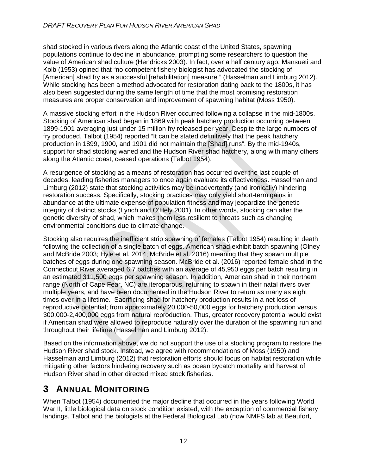shad stocked in various rivers along the Atlantic coast of the United States, spawning populations continue to decline in abundance, prompting some researchers to question the value of American shad culture (Hendricks 2003). In fact, over a half century ago, Mansueti and Kolb (1953) opined that "no competent fishery biologist has advocated the stocking of [American] shad fry as a successful [rehabilitation] measure." (Hasselman and Limburg 2012). While stocking has been a method advocated for restoration dating back to the 1800s, it has also been suggested during the same length of time that the most promising restoration measures are proper conservation and improvement of spawning habitat (Moss 1950).

A massive stocking effort in the Hudson River occurred following a collapse in the mid-1800s. Stocking of American shad began in 1869 with peak hatchery production occurring between 1899-1901 averaging just under 15 million fry released per year. Despite the large numbers of fry produced, Talbot (1954) reported "It can be stated definitively that the peak hatchery production in 1899, 1900, and 1901 did not maintain the [Shad] runs". By the mid-1940s, support for shad stocking waned and the Hudson River shad hatchery, along with many others along the Atlantic coast, ceased operations (Talbot 1954).

A resurgence of stocking as a means of restoration has occurred over the last couple of decades, leading fisheries managers to once again evaluate its effectiveness. Hasselman and Limburg (2012) state that stocking activities may be inadvertently (and ironically) hindering restoration success. Specifically, stocking practices may only yield short-term gains in abundance at the ultimate expense of population fitness and may jeopardize the genetic integrity of distinct stocks (Lynch and O'Hely 2001). In other words, stocking can alter the genetic diversity of shad, which makes them less resilient to threats such as changing environmental conditions due to climate change.

Stocking also requires the inefficient strip spawning of females (Talbot 1954) resulting in death following the collection of a single batch of eggs. American shad exhibit batch spawning (Olney and McBride 2003; Hyle et al. 2014; McBride et al. 2016) meaning that they spawn multiple batches of eggs during one spawning season. McBride et al. (2016) reported female shad in the Connecticut River averaged 6.7 batches with an average of 45,950 eggs per batch resulting in an estimated 311,500 eggs per spawning season. In addition, American shad in their northern range (North of Cape Fear, NC) are iteroparous, returning to spawn in their natal rivers over multiple years, and have been documented in the Hudson River to return as many as eight times over in a lifetime. Sacrificing shad for hatchery production results in a net loss of reproductive potential; from approximately 20,000-50,000 eggs for hatchery production versus 300,000-2,400,000 eggs from natural reproduction. Thus, greater recovery potential would exist if American shad were allowed to reproduce naturally over the duration of the spawning run and throughout their lifetime (Hasselman and Limburg 2012).

Based on the information above, we do not support the use of a stocking program to restore the Hudson River shad stock. Instead, we agree with recommendations of Moss (1950) and Hasselman and Limburg (2012) that restoration efforts should focus on habitat restoration while mitigating other factors hindering recovery such as ocean bycatch mortality and harvest of Hudson River shad in other directed mixed stock fisheries.

# **3 ANNUAL MONITORING**

When Talbot (1954) documented the major decline that occurred in the years following World War II, little biological data on stock condition existed, with the exception of commercial fishery landings. Talbot and the biologists at the Federal Biological Lab (now NMFS lab at Beaufort,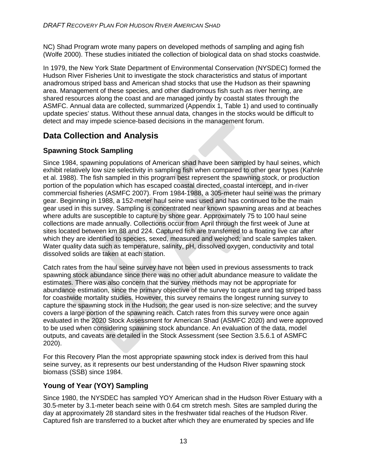NC) Shad Program wrote many papers on developed methods of sampling and aging fish (Wolfe 2000). These studies initiated the collection of biological data on shad stocks coastwide.

In 1979, the New York State Department of Environmental Conservation (NYSDEC) formed the Hudson River Fisheries Unit to investigate the stock characteristics and status of important anadromous striped bass and American shad stocks that use the Hudson as their spawning area. Management of these species, and other diadromous fish such as river herring, are shared resources along the coast and are managed jointly by coastal states through the ASMFC. Annual data are collected, summarized (Appendix 1, Table 1) and used to continually update species' status. Without these annual data, changes in the stocks would be difficult to detect and may impede science-based decisions in the management forum.

### **Data Collection and Analysis**

### **Spawning Stock Sampling**

Since 1984, spawning populations of American shad have been sampled by haul seines, which exhibit relatively low size selectivity in sampling fish when compared to other gear types (Kahnle et al. 1988). The fish sampled in this program best represent the spawning stock, or production portion of the population which has escaped coastal directed, coastal intercept, and in‐river commercial fisheries (ASMFC 2007). From 1984‐1988, a 305-meter haul seine was the primary gear. Beginning in 1988, a 152-meter haul seine was used and has continued to be the main gear used in this survey. Sampling is concentrated near known spawning areas and at beaches where adults are susceptible to capture by shore gear. Approximately 75 to 100 haul seine collections are made annually. Collections occur from April through the first week of June at sites located between km 88 and 224. Captured fish are transferred to a floating live car after which they are identified to species, sexed, measured and weighed; and scale samples taken. Water quality data such as temperature, salinity, pH, dissolved oxygen, conductivity and total dissolved solids are taken at each station.

Catch rates from the haul seine survey have not been used in previous assessments to track spawning stock abundance since there was no other adult abundance measure to validate the estimates. There was also concern that the survey methods may not be appropriate for abundance estimation, since the primary objective of the survey to capture and tag striped bass for coastwide mortality studies. However, this survey remains the longest running survey to capture the spawning stock in the Hudson; the gear used is non‐size selective; and the survey covers a large portion of the spawning reach. Catch rates from this survey were once again evaluated in the 2020 Stock Assessment for American Shad (ASMFC 2020) and were approved to be used when considering spawning stock abundance. An evaluation of the data, model outputs, and caveats are detailed in the Stock Assessment (see Section 3.5.6.1 of ASMFC 2020).

For this Recovery Plan the most appropriate spawning stock index is derived from this haul seine survey, as it represents our best understanding of the Hudson River spawning stock biomass (SSB) since 1984.

### **Young of Year (YOY) Sampling**

Since 1980, the NYSDEC has sampled YOY American shad in the Hudson River Estuary with a 30.5-meter by 3.1-meter beach seine with 0.64 cm stretch mesh. Sites are sampled during the day at approximately 28 standard sites in the freshwater tidal reaches of the Hudson River. Captured fish are transferred to a bucket after which they are enumerated by species and life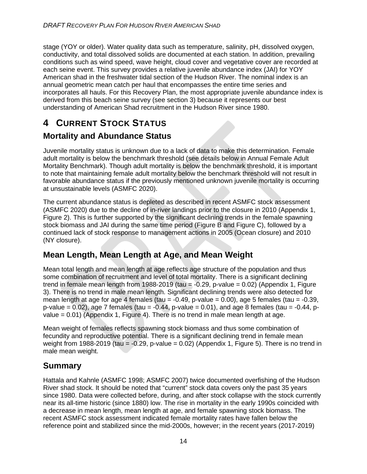stage (YOY or older). Water quality data such as temperature, salinity, pH, dissolved oxygen, conductivity, and total dissolved solids are documented at each station. In addition, prevailing conditions such as wind speed, wave height, cloud cover and vegetative cover are recorded at each seine event. This survey provides a relative juvenile abundance index (JAI) for YOY American shad in the freshwater tidal section of the Hudson River. The nominal index is an annual geometric mean catch per haul that encompasses the entire time series and incorporates all hauls. For this Recovery Plan, the most appropriate juvenile abundance index is derived from this beach seine survey (see section 3) because it represents our best understanding of American Shad recruitment in the Hudson River since 1980.

# **4 CURRENT STOCK STATUS**

### **Mortality and Abundance Status**

Juvenile mortality status is unknown due to a lack of data to make this determination. Female adult mortality is below the benchmark threshold (see details below in Annual Female Adult Mortality Benchmark). Though adult mortality is below the benchmark threshold, it is important to note that maintaining female adult mortality below the benchmark threshold will not result in favorable abundance status if the previously mentioned unknown juvenile mortality is occurring at unsustainable levels (ASMFC 2020).

The current abundance status is depleted as described in recent ASMFC stock assessment (ASMFC 2020) due to the decline of in‐river landings prior to the closure in 2010 (Appendix 1, Figure 2). This is further supported by the significant declining trends in the female spawning stock biomass and JAI during the same time period (Figure B and Figure C), followed by a continued lack of stock response to management actions in 2005 (Ocean closure) and 2010 (NY closure).

### **Mean Length, Mean Length at Age, and Mean Weight**

Mean total length and mean length at age reflects age structure of the population and thus some combination of recruitment and level of total mortality. There is a significant declining trend in female mean length from 1988-2019 (tau  $= -0.29$ , p-value  $= 0.02$ ) (Appendix 1, Figure 3). There is no trend in male mean length. Significant declining trends were also detected for mean length at age for age 4 females (tau =  $-0.49$ , p-value = 0.00), age 5 females (tau =  $-0.39$ , p-value =  $0.02$ ), age 7 females (tau =  $-0.44$ , p-value =  $0.01$ ), and age 8 females (tau =  $-0.44$ , pvalue = 0.01) (Appendix 1, Figure 4). There is no trend in male mean length at age.

Mean weight of females reflects spawning stock biomass and thus some combination of fecundity and reproductive potential. There is a significant declining trend in female mean weight from 1988-2019 (tau  $=$  -0.29, p-value  $=$  0.02) (Appendix 1, Figure 5). There is no trend in male mean weight.

### **Summary**

Hattala and Kahnle (ASMFC 1998; ASMFC 2007) twice documented overfishing of the Hudson River shad stock. It should be noted that "current" stock data covers only the past 35 years since 1980. Data were collected before, during, and after stock collapse with the stock currently near its all-time historic (since 1880) low. The rise in mortality in the early 1990s coincided with a decrease in mean length, mean length at age, and female spawning stock biomass. The recent ASMFC stock assessment indicated female mortality rates have fallen below the reference point and stabilized since the mid-2000s, however; in the recent years (2017-2019)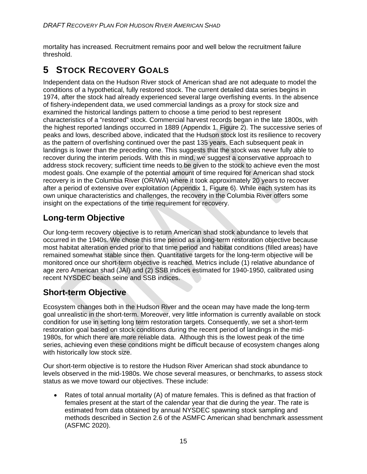mortality has increased. Recruitment remains poor and well below the recruitment failure threshold.

# **5 STOCK RECOVERY GOALS**

Independent data on the Hudson River stock of American shad are not adequate to model the conditions of a hypothetical, fully restored stock. The current detailed data series begins in 1974, after the stock had already experienced several large overfishing events. In the absence of fishery-independent data, we used commercial landings as a proxy for stock size and examined the historical landings pattern to choose a time period to best represent characteristics of a "restored" stock. Commercial harvest records began in the late 1800s, with the highest reported landings occurred in 1889 (Appendix 1, Figure 2). The successive series of peaks and lows, described above, indicated that the Hudson stock lost its resilience to recovery as the pattern of overfishing continued over the past 135 years. Each subsequent peak in landings is lower than the preceding one. This suggests that the stock was never fully able to recover during the interim periods. With this in mind, we suggest a conservative approach to address stock recovery; sufficient time needs to be given to the stock to achieve even the most modest goals. One example of the potential amount of time required for American shad stock recovery is in the Columbia River (OR/WA) where it took approximately 20 years to recover after a period of extensive over exploitation (Appendix 1, Figure 6). While each system has its own unique characteristics and challenges, the recovery in the Columbia River offers some insight on the expectations of the time requirement for recovery.

### **Long-term Objective**

Our long-term recovery objective is to return American shad stock abundance to levels that occurred in the 1940s. We chose this time period as a long-term restoration objective because most habitat alteration ended prior to that time period and habitat conditions (filled areas) have remained somewhat stable since then. Quantitative targets for the long-term objective will be monitored once our short-term objective is reached. Metrics include (1) relative abundance of age zero American shad (JAI) and (2) SSB indices estimated for 1940-1950, calibrated using recent NYSDEC beach seine and SSB indices.

### **Short-term Objective**

Ecosystem changes both in the Hudson River and the ocean may have made the long-term goal unrealistic in the short-term. Moreover, very little information is currently available on stock condition for use in setting long term restoration targets. Consequently, we set a short-term restoration goal based on stock conditions during the recent period of landings in the mid-1980s, for which there are more reliable data. Although this is the lowest peak of the time series, achieving even these conditions might be difficult because of ecosystem changes along with historically low stock size.

Our short-term objective is to restore the Hudson River American shad stock abundance to levels observed in the mid-1980s. We chose several measures, or benchmarks, to assess stock status as we move toward our objectives. These include:

• Rates of total annual mortality (A) of mature females. This is defined as that fraction of females present at the start of the calendar year that die during the year. The rate is estimated from data obtained by annual NYSDEC spawning stock sampling and methods described in Section 2.6 of the ASMFC American shad benchmark assessment (ASFMC 2020).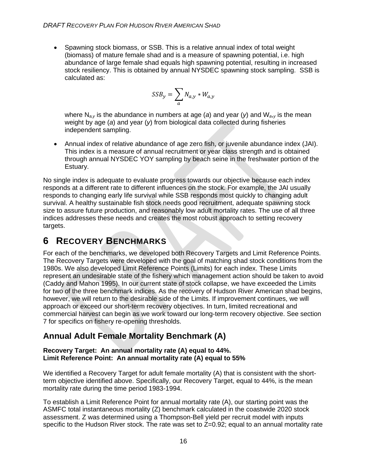• Spawning stock biomass, or SSB. This is a relative annual index of total weight (biomass) of mature female shad and is a measure of spawning potential, i.e. high abundance of large female shad equals high spawning potential, resulting in increased stock resiliency. This is obtained by annual NYSDEC spawning stock sampling. SSB is calculated as:

$$
SSB_{y} = \sum_{a} N_{a,y} * W_{a,y}
$$

where N*a,y* is the abundance in numbers at age (*a*) and year (*y*) and W*a*,*y* is the mean weight by age (*a*) and year (*y*) from biological data collected during fisheries independent sampling.

• Annual index of relative abundance of age zero fish, or juvenile abundance index (JAI). This index is a measure of annual recruitment or year class strength and is obtained through annual NYSDEC YOY sampling by beach seine in the freshwater portion of the Estuary.

No single index is adequate to evaluate progress towards our objective because each index responds at a different rate to different influences on the stock. For example, the JAI usually responds to changing early life survival while SSB responds most quickly to changing adult survival. A healthy sustainable fish stock needs good recruitment, adequate spawning stock size to assure future production, and reasonably low adult mortality rates. The use of all three indices addresses these needs and creates the most robust approach to setting recovery targets.

# **6 RECOVERY BENCHMARKS**

For each of the benchmarks, we developed both Recovery Targets and Limit Reference Points. The Recovery Targets were developed with the goal of matching shad stock conditions from the 1980s. We also developed Limit Reference Points (Limits) for each index. These Limits represent an undesirable state of the fishery which management action should be taken to avoid (Caddy and Mahon 1995). In our current state of stock collapse, we have exceeded the Limits for two of the three benchmark indices. As the recovery of Hudson River American shad begins, however, we will return to the desirable side of the Limits. If improvement continues, we will approach or exceed our short-term recovery objectives. In turn, limited recreational and commercial harvest can begin as we work toward our long-term recovery objective. See section 7 for specifics on fishery re-opening thresholds.

### **Annual Adult Female Mortality Benchmark (A)**

#### **Recovery Target: An annual mortality rate (A) equal to 44%. Limit Reference Point: An annual mortality rate (A) equal to 55%**

We identified a Recovery Target for adult female mortality (A) that is consistent with the shortterm objective identified above. Specifically, our Recovery Target, equal to 44%, is the mean mortality rate during the time period 1983-1994.

To establish a Limit Reference Point for annual mortality rate (A), our starting point was the ASMFC total instantaneous mortality (Z) benchmark calculated in the coastwide 2020 stock assessment. Z was determined using a Thompson-Bell yield per recruit model with inputs specific to the Hudson River stock. The rate was set to  $Z=0.92$ ; equal to an annual mortality rate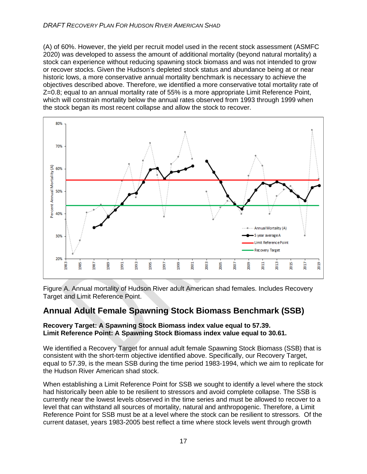(A) of 60%. However, the yield per recruit model used in the recent stock assessment (ASMFC 2020) was developed to assess the amount of additional mortality (beyond natural mortality) a stock can experience without reducing spawning stock biomass and was not intended to grow or recover stocks. Given the Hudson's depleted stock status and abundance being at or near historic lows, a more conservative annual mortality benchmark is necessary to achieve the objectives described above. Therefore, we identified a more conservative total mortality rate of Z=0.8; equal to an annual mortality rate of 55% is a more appropriate Limit Reference Point, which will constrain mortality below the annual rates observed from 1993 through 1999 when the stock began its most recent collapse and allow the stock to recover.



Figure A. Annual mortality of Hudson River adult American shad females. Includes Recovery Target and Limit Reference Point.

### **Annual Adult Female Spawning Stock Biomass Benchmark (SSB)**

#### **Recovery Target: A Spawning Stock Biomass index value equal to 57.39. Limit Reference Point: A Spawning Stock Biomass index value equal to 30.61.**

We identified a Recovery Target for annual adult female Spawning Stock Biomass (SSB) that is consistent with the short-term objective identified above. Specifically, our Recovery Target, equal to 57.39, is the mean SSB during the time period 1983-1994, which we aim to replicate for the Hudson River American shad stock.

When establishing a Limit Reference Point for SSB we sought to identify a level where the stock had historically been able to be resilient to stressors and avoid complete collapse. The SSB is currently near the lowest levels observed in the time series and must be allowed to recover to a level that can withstand all sources of mortality, natural and anthropogenic. Therefore, a Limit Reference Point for SSB must be at a level where the stock can be resilient to stressors. Of the current dataset, years 1983-2005 best reflect a time where stock levels went through growth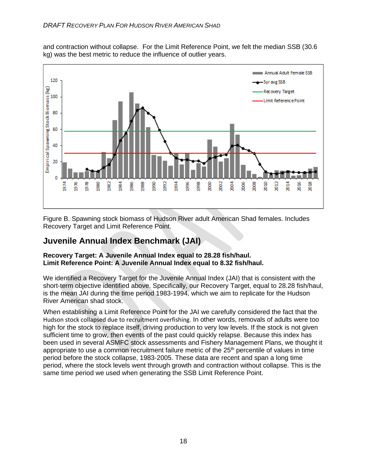and contraction without collapse. For the Limit Reference Point, we felt the median SSB (30.6 kg) was the best metric to reduce the influence of outlier years.



Figure B. Spawning stock biomass of Hudson River adult American Shad females. Includes Recovery Target and Limit Reference Point.

### **Juvenile Annual Index Benchmark (JAI)**

#### **Recovery Target: A Juvenile Annual Index equal to 28.28 fish/haul. Limit Reference Point: A Juvenile Annual Index equal to 8.32 fish/haul.**

We identified a Recovery Target for the Juvenile Annual Index (JAI) that is consistent with the short-term objective identified above. Specifically, our Recovery Target, equal to 28.28 fish/haul, is the mean JAI during the time period 1983-1994, which we aim to replicate for the Hudson River American shad stock.

When establishing a Limit Reference Point for the JAI we carefully considered the fact that the Hudson stock collapsed due to recruitment overfishing. In other words, removals of adults were too high for the stock to replace itself, driving production to very low levels. If the stock is not given sufficient time to grow, then events of the past could quickly relapse. Because this index has been used in several ASMFC stock assessments and Fishery Management Plans, we thought it appropriate to use a common recruitment failure metric of the  $25<sup>th</sup>$  percentile of values in time period before the stock collapse, 1983-2005. These data are recent and span a long time period, where the stock levels went through growth and contraction without collapse. This is the same time period we used when generating the SSB Limit Reference Point.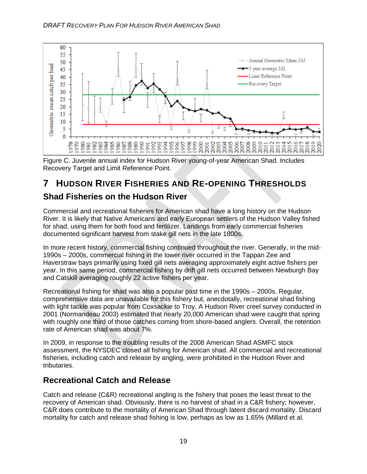

Figure C. Juvenile annual index for Hudson River young-of-year American Shad. Includes Recovery Target and Limit Reference Point.

# **7 HUDSON RIVER FISHERIES AND RE-OPENING THRESHOLDS**

### **Shad Fisheries on the Hudson River**

Commercial and recreational fisheries for American shad have a long history on the Hudson River. It is likely that Native Americans and early European settlers of the Hudson Valley fished for shad, using them for both food and fertilizer. Landings from early commercial fisheries documented significant harvest from stake gill nets in the late 1800s.

In more recent history, commercial fishing continued throughout the river. Generally, in the mid-1990s – 2000s, commercial fishing in the lower river occurred in the Tappan Zee and Haverstraw bays primarily using fixed gill nets averaging approximately eight active fishers per year. In this same period, commercial fishing by drift gill nets occurred between Newburgh Bay and Catskill averaging roughly 22 active fishers per year.

Recreational fishing for shad was also a popular past time in the 1990s – 2000s. Regular, comprehensive data are unavailable for this fishery but, anecdotally, recreational shad fishing with light tackle was popular from Coxsackie to Troy. A Hudson River creel survey conducted in 2001 (Normandeau 2003) estimated that nearly 20,000 American shad were caught that spring with roughly one third of those catches coming from shore-based anglers. Overall, the retention rate of American shad was about 7%.

In 2009, in response to the troubling results of the 2008 American Shad ASMFC stock assessment, the NYSDEC closed all fishing for American shad. All commercial and recreational fisheries, including catch and release by angling, were prohibited in the Hudson River and tributaries.

### **Recreational Catch and Release**

Catch and release (C&R) recreational angling is the fishery that poses the least threat to the recovery of American shad. Obviously, there is no harvest of shad in a C&R fishery; however, C&R does contribute to the mortality of American Shad through latent discard mortality. Discard mortality for catch and release shad fishing is low, perhaps as low as 1.65% (Millard et al.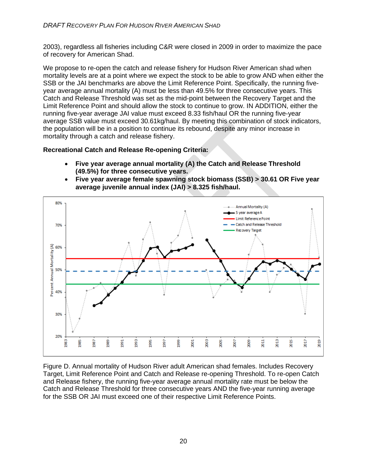2003), regardless all fisheries including C&R were closed in 2009 in order to maximize the pace of recovery for American Shad.

We propose to re-open the catch and release fishery for Hudson River American shad when mortality levels are at a point where we expect the stock to be able to grow AND when either the SSB or the JAI benchmarks are above the Limit Reference Point. Specifically, the running fiveyear average annual mortality (A) must be less than 49.5% for three consecutive years. This Catch and Release Threshold was set as the mid-point between the Recovery Target and the Limit Reference Point and should allow the stock to continue to grow. IN ADDITION, either the running five-year average JAI value must exceed 8.33 fish/haul OR the running five-year average SSB value must exceed 30.61kg/haul. By meeting this combination of stock indicators, the population will be in a position to continue its rebound, despite any minor increase in mortality through a catch and release fishery.

**Recreational Catch and Release Re-opening Criteria:**

- **Five year average annual mortality (A) the Catch and Release Threshold (49.5%) for three consecutive years.**
- **Five year average female spawning stock biomass (SSB) > 30.61 OR Five year average juvenile annual index (JAI) > 8.325 fish/haul.**



Figure D. Annual mortality of Hudson River adult American shad females. Includes Recovery Target, Limit Reference Point and Catch and Release re-opening Threshold. To re-open Catch and Release fishery, the running five-year average annual mortality rate must be below the Catch and Release Threshold for three consecutive years AND the five-year running average for the SSB OR JAI must exceed one of their respective Limit Reference Points.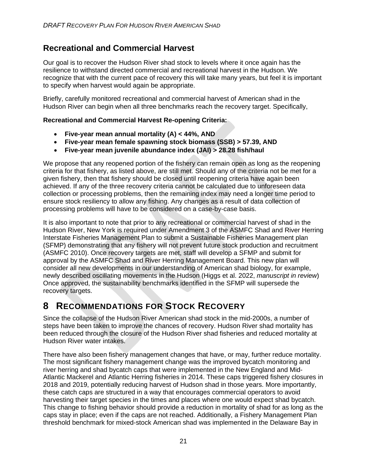### **Recreational and Commercial Harvest**

Our goal is to recover the Hudson River shad stock to levels where it once again has the resilience to withstand directed commercial and recreational harvest in the Hudson. We recognize that with the current pace of recovery this will take many years, but feel it is important to specify when harvest would again be appropriate.

Briefly, carefully monitored recreational and commercial harvest of American shad in the Hudson River can begin when all three benchmarks reach the recovery target. Specifically,

#### **Recreational and Commercial Harvest Re-opening Criteria:**

- **Five-year mean annual mortality (A) < 44%, AND**
- **Five-year mean female spawning stock biomass (SSB) > 57.39, AND**
- **Five-year mean juvenile abundance index (JAI) > 28.28 fish/haul**

We propose that any reopened portion of the fishery can remain open as long as the reopening criteria for that fishery, as listed above, are still met. Should any of the criteria not be met for a given fishery, then that fishery should be closed until reopening criteria have again been achieved. If any of the three recovery criteria cannot be calculated due to unforeseen data collection or processing problems, then the remaining index may need a longer time period to ensure stock resiliency to allow any fishing. Any changes as a result of data collection of processing problems will have to be considered on a case-by-case basis.

It is also important to note that prior to any recreational or commercial harvest of shad in the Hudson River, New York is required under Amendment 3 of the ASMFC Shad and River Herring Interstate Fisheries Management Plan to submit a Sustainable Fisheries Management plan (SFMP) demonstrating that any fishery will not prevent future stock production and recruitment (ASMFC 2010). Once recovery targets are met, staff will develop a SFMP and submit for approval by the ASMFC Shad and River Herring Management Board. This new plan will consider all new developments in our understanding of American shad biology, for example, newly described oscillating movements in the Hudson (Higgs et al. 2022, *manuscript in review*) Once approved, the sustainability benchmarks identified in the SFMP will supersede the recovery targets.

### **8 RECOMMENDATIONS FOR STOCK RECOVERY**

Since the collapse of the Hudson River American shad stock in the mid-2000s, a number of steps have been taken to improve the chances of recovery. Hudson River shad mortality has been reduced through the closure of the Hudson River shad fisheries and reduced mortality at Hudson River water intakes.

There have also been fishery management changes that have, or may, further reduce mortality. The most significant fishery management change was the improved bycatch monitoring and river herring and shad bycatch caps that were implemented in the New England and Mid-Atlantic Mackerel and Atlantic Herring fisheries in 2014. These caps triggered fishery closures in 2018 and 2019, potentially reducing harvest of Hudson shad in those years. More importantly, these catch caps are structured in a way that encourages commercial operators to avoid harvesting their target species in the times and places where one would expect shad bycatch. This change to fishing behavior should provide a reduction in mortality of shad for as long as the caps stay in place; even if the caps are not reached. Additionally, a Fishery Management Plan threshold benchmark for mixed-stock American shad was implemented in the Delaware Bay in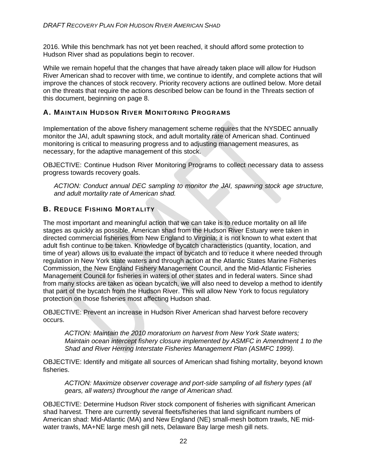2016. While this benchmark has not yet been reached, it should afford some protection to Hudson River shad as populations begin to recover.

While we remain hopeful that the changes that have already taken place will allow for Hudson River American shad to recover with time, we continue to identify, and complete actions that will improve the chances of stock recovery. Priority recovery actions are outlined below. More detail on the threats that require the actions described below can be found in the Threats section of this document, beginning on page 8.

#### **A. MAINTAIN HUDSON RIVER MONITORING PROGRAMS**

Implementation of the above fishery management scheme requires that the NYSDEC annually monitor the JAI, adult spawning stock, and adult mortality rate of American shad. Continued monitoring is critical to measuring progress and to adjusting management measures, as necessary, for the adaptive management of this stock.

OBJECTIVE: Continue Hudson River Monitoring Programs to collect necessary data to assess progress towards recovery goals.

*ACTION: Conduct annual DEC sampling to monitor the JAI, spawning stock age structure, and adult mortality rate of American shad.* 

### **B. REDUCE FISHING MORTALITY**

The most important and meaningful action that we can take is to reduce mortality on all life stages as quickly as possible. American shad from the Hudson River Estuary were taken in directed commercial fisheries from New England to Virginia; it is not known to what extent that adult fish continue to be taken. Knowledge of bycatch characteristics (quantity, location, and time of year) allows us to evaluate the impact of bycatch and to reduce it where needed through regulation in New York state waters and through action at the Atlantic States Marine Fisheries Commission, the New England Fishery Management Council, and the Mid-Atlantic Fisheries Management Council for fisheries in waters of other states and in federal waters. Since shad from many stocks are taken as ocean bycatch, we will also need to develop a method to identify that part of the bycatch from the Hudson River. This will allow New York to focus regulatory protection on those fisheries most affecting Hudson shad.

OBJECTIVE: Prevent an increase in Hudson River American shad harvest before recovery occurs.

*ACTION: Maintain the 2010 moratorium on harvest from New York State waters; Maintain ocean intercept fishery closure implemented by ASMFC in Amendment 1 to the Shad and River Herring Interstate Fisheries Management Plan (ASMFC 1999).* 

OBJECTIVE: Identify and mitigate all sources of American shad fishing mortality, beyond known fisheries.

*ACTION: Maximize observer coverage and port-side sampling of all fishery types (all gears, all waters) throughout the range of American shad.* 

OBJECTIVE: Determine Hudson River stock component of fisheries with significant American shad harvest. There are currently several fleets/fisheries that land significant numbers of American shad: Mid-Atlantic (MA) and New England (NE) small-mesh bottom trawls, NE midwater trawls, MA+NE large mesh gill nets, Delaware Bay large mesh gill nets.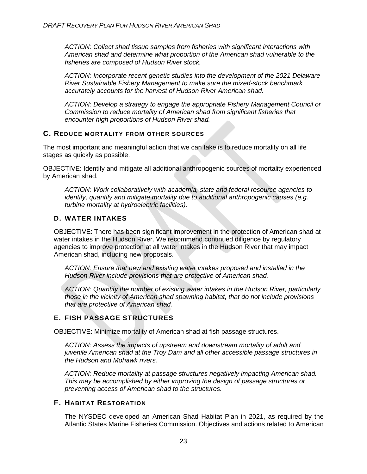*ACTION: Collect shad tissue samples from fisheries with significant interactions with American shad and determine what proportion of the American shad vulnerable to the fisheries are composed of Hudson River stock.* 

*ACTION: Incorporate recent genetic studies into the development of the 2021 Delaware River Sustainable Fishery Management to make sure the mixed-stock benchmark accurately accounts for the harvest of Hudson River American shad.*

*ACTION: Develop a strategy to engage the appropriate Fishery Management Council or Commission to reduce mortality of American shad from significant fisheries that encounter high proportions of Hudson River shad.* 

#### **C. REDUCE MORTALITY FROM OTHER SOURCES**

The most important and meaningful action that we can take is to reduce mortality on all life stages as quickly as possible.

OBJECTIVE: Identify and mitigate all additional anthropogenic sources of mortality experienced by American shad.

*ACTION: Work collaboratively with academia, state and federal resource agencies to identify, quantify and mitigate mortality due to additional anthropogenic causes (e.g. turbine mortality at hydroelectric facilities).* 

#### **D. WATER INTAKES**

OBJECTIVE: There has been significant improvement in the protection of American shad at water intakes in the Hudson River. We recommend continued diligence by regulatory agencies to improve protection at all water intakes in the Hudson River that may impact American shad, including new proposals.

*ACTION: Ensure that new and existing water intakes proposed and installed in the Hudson River include provisions that are protective of American shad.*

*ACTION: Quantify the number of existing water intakes in the Hudson River, particularly those in the vicinity of American shad spawning habitat, that do not include provisions that are protective of American shad.* 

#### **E. FISH PASSAGE STRUCTURES**

OBJECTIVE: Minimize mortality of American shad at fish passage structures.

*ACTION: Assess the impacts of upstream and downstream mortality of adult and juvenile American shad at the Troy Dam and all other accessible passage structures in the Hudson and Mohawk rivers.* 

*ACTION: Reduce mortality at passage structures negatively impacting American shad. This may be accomplished by either improving the design of passage structures or preventing access of American shad to the structures.* 

#### **F. HABITAT RESTORATION**

The NYSDEC developed an American Shad Habitat Plan in 2021, as required by the Atlantic States Marine Fisheries Commission. Objectives and actions related to American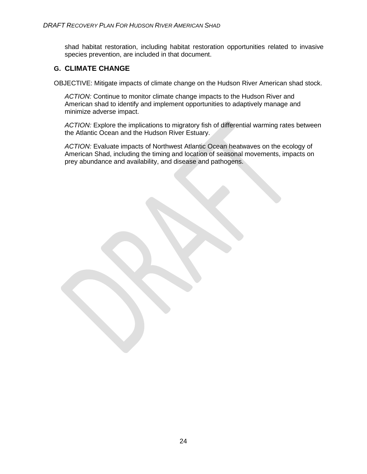shad habitat restoration, including habitat restoration opportunities related to invasive species prevention, are included in that document.

### **G. CLIMATE CHANGE**

OBJECTIVE: Mitigate impacts of climate change on the Hudson River American shad stock.

*ACTION:* Continue to monitor climate change impacts to the Hudson River and American shad to identify and implement opportunities to adaptively manage and minimize adverse impact.

*ACTION:* Explore the implications to migratory fish of differential warming rates between the Atlantic Ocean and the Hudson River Estuary.

*ACTION:* Evaluate impacts of Northwest Atlantic Ocean heatwaves on the ecology of American Shad, including the timing and location of seasonal movements, impacts on prey abundance and availability, and disease and pathogens.

24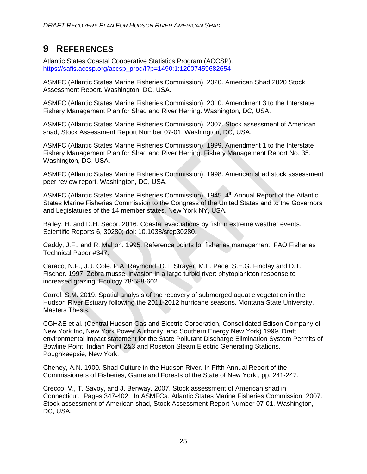# **9 REFERENCES**

Atlantic States Coastal Cooperative Statistics Program (ACCSP). https://safis.accsp.org/accsp\_prod/f?p=1490:1:12007459682654

ASMFC (Atlantic States Marine Fisheries Commission). 2020. American Shad 2020 Stock Assessment Report. Washington, DC, USA.

ASMFC (Atlantic States Marine Fisheries Commission). 2010. Amendment 3 to the Interstate Fishery Management Plan for Shad and River Herring. Washington, DC, USA.

ASMFC (Atlantic States Marine Fisheries Commission). 2007. Stock assessment of American shad, Stock Assessment Report Number 07-01. Washington, DC, USA.

ASMFC (Atlantic States Marine Fisheries Commission). 1999. Amendment 1 to the Interstate Fishery Management Plan for Shad and River Herring. Fishery Management Report No. 35. Washington, DC, USA.

ASMFC (Atlantic States Marine Fisheries Commission). 1998. American shad stock assessment peer review report. Washington, DC, USA.

ASMFC (Atlantic States Marine Fisheries Commission). 1945. 4<sup>th</sup> Annual Report of the Atlantic States Marine Fisheries Commission to the Congress of the United States and to the Governors and Legislatures of the 14 member states, New York NY, USA.

Bailey, H. and D.H. Secor. 2016. Coastal evacuations by fish in extreme weather events. Scientific Reports 6, 30280; doi: 10.1038/srep30280.

Caddy, J.F., and R. Mahon. 1995. Reference points for fisheries management. FAO Fisheries Technical Paper #347.

Caraco, N.F., J.J. Cole, P.A. Raymond, D. L Strayer, M.L. Pace, S.E.G. Findlay and D.T. Fischer. 1997. Zebra mussel invasion in a large turbid river: phytoplankton response to increased grazing. Ecology 78:588-602.

Carrol, S.M. 2019. Spatial analysis of the recovery of submerged aquatic vegetation in the Hudson River Estuary following the 2011-2012 hurricane seasons. Montana State University, Masters Thesis.

CGH&E et al. (Central Hudson Gas and Electric Corporation, Consolidated Edison Company of New York Inc, New York Power Authority, and Southern Energy New York) 1999. Draft environmental impact statement for the State Pollutant Discharge Elimination System Permits of Bowline Point, Indian Point 2&3 and Roseton Steam Electric Generating Stations. Poughkeepsie, New York.

Cheney, A.N. 1900. Shad Culture in the Hudson River. In Fifth Annual Report of the Commissioners of Fisheries, Game and Forests of the State of New York., pp. 241-247.

Crecco, V., T. Savoy, and J. Benway. 2007. Stock assessment of American shad in Connecticut. Pages 347-402. In ASMFCa. Atlantic States Marine Fisheries Commission. 2007. Stock assessment of American shad, Stock Assessment Report Number 07-01. Washington, DC, USA.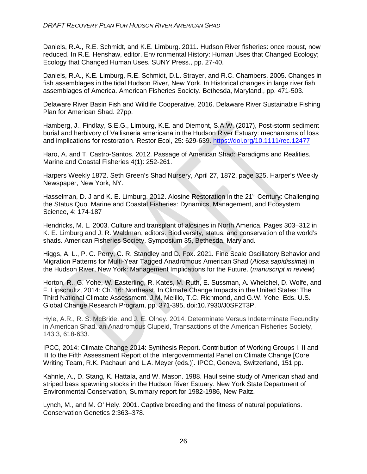Daniels, R.A., R.E. Schmidt, and K.E. Limburg. 2011. Hudson River fisheries: once robust, now reduced. In R.E. Henshaw, editor. Environmental History: Human Uses that Changed Ecology; Ecology that Changed Human Uses. SUNY Press., pp. 27-40.

Daniels, R.A., K.E. Limburg, R.E. Schmidt, D.L. Strayer, and R.C. Chambers. 2005. Changes in fish assemblages in the tidal Hudson River, New York. In Historical changes in large river fish assemblages of America. American Fisheries Society. Bethesda, Maryland., pp. 471-503.

Delaware River Basin Fish and Wildlife Cooperative, 2016. Delaware River Sustainable Fishing Plan for American Shad. 27pp.

Hamberg, J., Findlay, S.E.G., Limburg, K.E. and Diemont, S.A.W. (2017), Post-storm sediment burial and herbivory of Vallisneria americana in the Hudson River Estuary: mechanisms of loss and implications for restoration. Restor Ecol, 25: 629-639. https://doi.org/10.1111/rec.12477

Haro, A. and T. Castro-Santos. 2012. Passage of American Shad: Paradigms and Realities. Marine and Coastal Fisheries 4(1): 252-261.

Harpers Weekly 1872. Seth Green's Shad Nursery, April 27, 1872, page 325. Harper's Weekly Newspaper, New York, NY.

Hasselman, D. J and K. E. Limburg. 2012. Alosine Restoration in the 21<sup>st</sup> Century: Challenging the Status Quo. Marine and Coastal Fisheries: Dynamics, Management, and Ecosystem Science, 4: 174-187

Hendricks, M. L. 2003. Culture and transplant of alosines in North America. Pages 303–312 in K. E. Limburg and J. R. Waldman, editors. Biodiversity, status, and conservation of the world's shads. American Fisheries Society, Symposium 35, Bethesda, Maryland.

Higgs, A. L., P. C. Perry, C. R. Standley and D. Fox. 2021. Fine Scale Oscillatory Behavior and Migration Patterns for Multi-Year Tagged Anadromous American Shad (*Alosa sapidissima*) in the Hudson River, New York: Management Implications for the Future. (*manuscript in review*)

Horton, R., G. Yohe, W. Easterling, R. Kates, M. Ruth, E. Sussman, A. Whelchel, D. Wolfe, and F. Lipschultz, 2014: Ch. 16: Northeast. In Climate Change Impacts in the United States: The Third National Climate Assessment. J.M. Melillo, T.C. Richmond, and G.W. Yohe, Eds. U.S. Global Change Research Program, pp. 371-395, doi:10.7930/J0SF2T3P.

Hyle, A.R., R. S. McBride, and J. E. Olney. 2014. Determinate Versus Indeterminate Fecundity in American Shad, an Anadromous Clupeid, Transactions of the American Fisheries Society, 143:3, 618-633.

IPCC, 2014: Climate Change 2014: Synthesis Report. Contribution of Working Groups I, II and III to the Fifth Assessment Report of the Intergovernmental Panel on Climate Change [Core Writing Team, R.K. Pachauri and L.A. Meyer (eds.)]. IPCC, Geneva, Switzerland, 151 pp.

Kahnle, A., D. Stang, K. Hattala, and W. Mason. 1988. Haul seine study of American shad and striped bass spawning stocks in the Hudson River Estuary. New York State Department of Environmental Conservation, Summary report for 1982-1986, New Paltz.

Lynch, M., and M. O' Hely. 2001. Captive breeding and the fitness of natural populations. Conservation Genetics 2:363–378.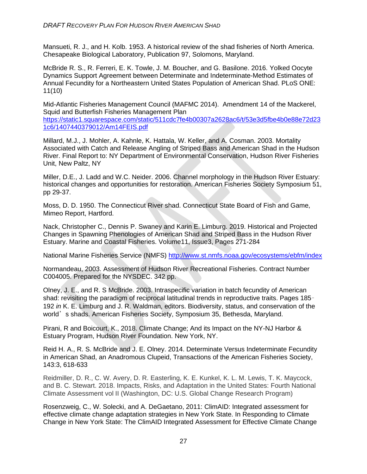Mansueti, R. J., and H. Kolb. 1953. A historical review of the shad fisheries of North America. Chesapeake Biological Laboratory, Publication 97, Solomons, Maryland.

McBride R. S., R. Ferreri, E. K. Towle, J. M. Boucher, and G. Basilone. 2016. Yolked Oocyte Dynamics Support Agreement between Determinate and Indeterminate-Method Estimates of Annual Fecundity for a Northeastern United States Population of American Shad. PLoS ONE: 11(10)

Mid-Atlantic Fisheries Management Council (MAFMC 2014). Amendment 14 of the Mackerel, Squid and Butterfish Fisheries Management Plan

https://static1.squarespace.com/static/511cdc7fe4b00307a2628ac6/t/53e3d5fbe4b0e88e72d23 1c6/1407440379012/Am14FEIS.pdf

Millard, M.J., J. Mohler, A. Kahnle, K. Hattala, W. Keller, and A. Cosman. 2003. Mortality Associated with Catch and Release Angling of Striped Bass and American Shad in the Hudson River. Final Report to: NY Department of Environmental Conservation, Hudson River Fisheries Unit, New Paltz, NY

Miller, D.E., J. Ladd and W.C. Neider. 2006. Channel morphology in the Hudson River Estuary: historical changes and opportunities for restoration. American Fisheries Society Symposium 51, pp 29-37.

Moss, D. D. 1950. The Connecticut River shad. Connecticut State Board of Fish and Game, Mimeo Report, Hartford.

Nack, Christopher C., Dennis P. Swaney and Karin E. Limburg. 2019. Historical and Projected Changes in Spawning Phenologies of American Shad and Striped Bass in the Hudson River Estuary. Marine and Coastal Fisheries. Volume11, Issue3, Pages 271-284

National Marine Fisheries Service (NMFS) http://www.st.nmfs.noaa.gov/ecosystems/ebfm/index

Normandeau, 2003. Assessment of Hudson River Recreational Fisheries. Contract Number C004005. Prepared for the NYSDEC. 342 pp.

Olney, J. E., and R. S McBride. 2003. Intraspecific variation in batch fecundity of American shad: revisiting the paradigm of reciprocal latitudinal trends in reproductive traits. Pages 185– 192 *in* K. E. Limburg and J. R. Waldman, editors. Biodiversity, status, and conservation of the world's shads. American Fisheries Society, Symposium 35, Bethesda, Maryland.

Pirani, R and Boicourt, K., 2018. Climate Change; And its Impact on the NY-NJ Harbor & Estuary Program, Hudson River Foundation. New York, NY.

Reid H. A., R. S. McBride and J. E. Olney. 2014. Determinate Versus Indeterminate Fecundity in American Shad, an Anadromous Clupeid, Transactions of the American Fisheries Society, 143:3, 618-633

Reidmiller, D. R., C. W. Avery, D. R. Easterling, K. E. Kunkel, K. L. M. Lewis, T. K. Maycock, and B. C. Stewart. 2018. Impacts, Risks, and Adaptation in the United States: Fourth National Climate Assessment vol II (Washington, DC: U.S. Global Change Research Program)

Rosenzweig, C., W. Solecki, and A. DeGaetano, 2011: ClimAID: Integrated assessment for effective climate change adaptation strategies in New York State. In Responding to Climate Change in New York State: The ClimAID Integrated Assessment for Effective Climate Change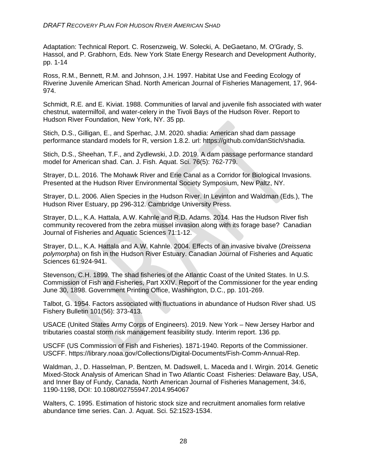#### *DRAFT RECOVERY PLAN FOR HUDSON RIVER AMERICAN SHAD*

Adaptation: Technical Report. C. Rosenzweig, W. Solecki, A. DeGaetano, M. O'Grady, S. Hassol, and P. Grabhorn, Eds. New York State Energy Research and Development Authority, pp. 1-14

Ross, R.M., Bennett, R.M. and Johnson, J.H. 1997. Habitat Use and Feeding Ecology of Riverine Juvenile American Shad. North American Journal of Fisheries Management, 17, 964- 974.

Schmidt, R.E. and E. Kiviat. 1988. Communities of larval and juvenile fish associated with water chestnut, watermilfoil, and water-celery in the Tivoli Bays of the Hudson River. Report to Hudson River Foundation, New York, NY. 35 pp.

Stich, D.S., Gilligan, E., and Sperhac, J.M. 2020. shadia: American shad dam passage performance standard models for R, version 1.8.2. url: https://github.com/danStich/shadia.

Stich, D.S., Sheehan, T.F., and Zydlewski, J.D. 2019. A dam passage performance standard model for American shad. Can. J. Fish. Aquat. Sci. 76(5): 762-779.

Strayer, D.L. 2016. The Mohawk River and Erie Canal as a Corridor for Biological Invasions. Presented at the Hudson River Environmental Society Symposium, New Paltz, NY.

Strayer, D.L. 2006. Alien Species in the Hudson River. In Levinton and Waldman (Eds.), The Hudson River Estuary, pp 296-312. Cambridge University Press.

Strayer, D.L., K.A. Hattala, A.W. Kahnle and R.D. Adams. 2014. Has the Hudson River fish community recovered from the zebra mussel invasion along with its forage base? Canadian Journal of Fisheries and Aquatic Sciences 71:1-12.

Strayer, D.L., K.A. Hattala and A.W. Kahnle. 2004. Effects of an invasive bivalve (*Dreissena polymorpha*) on fish in the Hudson River Estuary. Canadian Journal of Fisheries and Aquatic Sciences 61:924-941.

Stevenson, C.H. 1899. The shad fisheries of the Atlantic Coast of the United States. In U.S. Commission of Fish and Fisheries, Part XXIV. Report of the Commissioner for the year ending June 30, 1898. Government Printing Office, Washington, D.C., pp. 101-269.

Talbot, G. 1954. Factors associated with fluctuations in abundance of Hudson River shad. US Fishery Bulletin 101(56): 373-413.

USACE (United States Army Corps of Engineers). 2019. New York – New Jersey Harbor and tributaries coastal storm risk management feasibility study. Interim report. 136 pp.

USCFF (US Commission of Fish and Fisheries). 1871-1940. Reports of the Commissioner. USCFF. https://library.noaa.gov/Collections/Digital-Documents/Fish-Comm-Annual-Rep.

Waldman, J., D. Hasselman, P. Bentzen, M. Dadswell, L. Maceda and I. Wirgin. 2014. Genetic Mixed-Stock Analysis of American Shad in Two Atlantic Coast Fisheries: Delaware Bay, USA, and Inner Bay of Fundy, Canada, North American Journal of Fisheries Management, 34:6, 1190-1198, DOI: 10.1080/02755947.2014.954067

Walters, C. 1995. Estimation of historic stock size and recruitment anomalies form relative abundance time series. Can. J. Aquat. Sci. 52:1523-1534.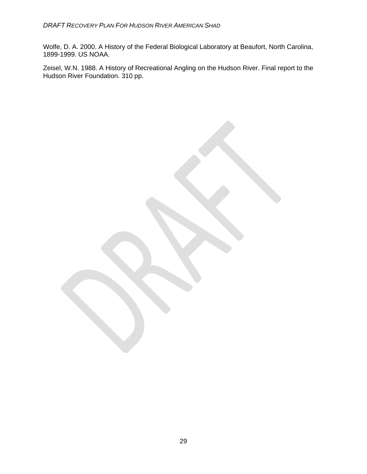Wolfe, D. A. 2000. A History of the Federal Biological Laboratory at Beaufort, North Carolina, 1899-1999. US NOAA.

Zeisel, W.N. 1988. A History of Recreational Angling on the Hudson River. Final report to the Hudson River Foundation. 310 pp.

29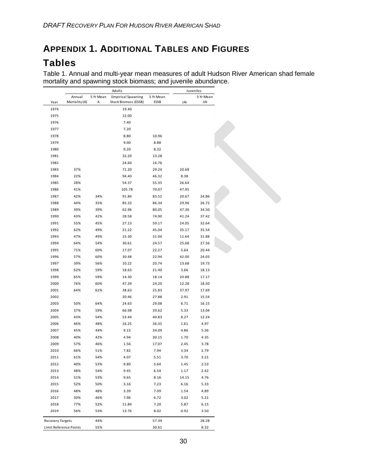# **APPENDIX 1. ADDITIONAL TABLES AND FIGURES Tables**

Table 1. Annual and multi-year mean measures of adult Hudson River American shad female mortality and spawning stock biomass; and juvenile abundance.

|                        | Adults        |           |                           |           | Juveniles |           |
|------------------------|---------------|-----------|---------------------------|-----------|-----------|-----------|
|                        | Annual        | 5 Yr Mean | <b>Empirical Spawning</b> | 5 Yr Mean |           | 5 Yr Mean |
| Year                   | Mortality (A) | Α         | Stock Biomass (ESSB)      | ESSB      | JAI       | JAI       |
| 1974                   |               |           | 19.40                     |           |           |           |
| 1975                   |               |           | 12.00                     |           |           |           |
| 1976                   |               |           | 7.40                      |           |           |           |
| 1977                   |               |           | 7.20                      |           |           |           |
| 1978                   |               |           | 8.80                      | 10.96     |           |           |
| 1979                   |               |           | 9.00                      | 8.88      |           |           |
| 1980                   |               |           | 9.20                      | 8.32      |           |           |
| 1981                   |               |           | 32.20                     | 13.28     |           |           |
| 1982                   |               |           | 24.60                     | 16.76     |           |           |
| 1983                   | 37%           |           | 71.20                     | 29.24     | 20.68     |           |
| 1984                   | 22%           |           | 94.40                     | 46.32     | 8.38      |           |
| 1985                   | 28%           |           | 54.37                     | 55.35     | 26.64     |           |
| 1986                   | 41%           |           | 105.78                    | 70.07     | 47.95     |           |
| 1987                   | 42%           | 34%       | 91.84                     | 83.52     | 20.67     | 24.86     |
| 1988                   | 44%           | 35%       | 85.32                     | 86.34     | 29.96     | 26.72     |
| 1989                   | 39%           | 39%       | 62.96                     | 80.05     | 47.30     | 34.50     |
| 1990                   | 43%           | 42%       | 28.58                     | 74.90     | 41.24     | 37.42     |
| 1991                   | 55%           | 45%       | 27.13                     | 59.17     | 24.05     | 32.64     |
| 1992                   | 62%           | 49%       | 21.22                     | 45.04     | 35.17     | 35.54     |
| 1993                   | 47%           | 49%       | 15.30                     | 31.04     | 11.64     | 31.88     |
| 1994                   | 64%           | 54%       | 30.61                     | 24.57     | 25.68     | 27.56     |
| 1995                   | 71%           | 60%       | 17.07                     | 22.27     | 5.64      | 20.44     |
| 1996                   | 57%           | 60%       | 30.48                     | 22.94     | 42.00     | 24.03     |
| 1997                   | 39%           | 56%       | 10.22                     | 20.74     | 13.68     | 19.73     |
| 1998                   | 62%           | 59%       | 18.63                     | 21.40     | 3.66      | 18.13     |
| 1999                   | 65%           | 59%       | 14.30                     | 18.14     | 20.88     | 17.17     |
| 2000                   | 76%           | 60%       | 47.39                     | 24.20     | 12.28     | 18.50     |
| 2001                   | 64%           | 61%       | 38.63                     | 25.83     | 37.97     | 17.69     |
| 2002                   |               |           | 20.46                     | 27.88     | 2.91      | 15.54     |
| 2003                   | 50%           | 64%       | 24.63                     | 29.08     | 6.71      | 16.15     |
| 2004                   | 37%           | 59%       | 66.98                     | 39.62     | 5.33      | 13.04     |
| 2005                   | 43%           | 54%       | 53.44                     | 40.83     | 8.27      | 12.24     |
| 2006                   | 46%           | 48%       | 16.25                     | 36.35     | 1.61      | 4.97      |
| 2007                   | 45%           | 44%       | 9.15                      | 34.09     | 4.86      | 5.36      |
| 2008                   | 40%           | 42%       | 4.94                      | 30.15     | 1.70      | 4.35      |
| 2009                   | 57%           | 46%       | 1.56                      | 17.07     | 2.45      | 3.78      |
|                        |               |           |                           |           |           |           |
| 2010                   | 66%           | 51%       | 7.82                      | 7.94      | 3.34      | 2.79      |
| 2011                   | 61%           | 54%       | 4.07                      | 5.51      | 3.70      | 3.21      |
| 2012                   | 40%           | 53%       | 9.80                      | 5.64      | 1.45      | 2.53      |
| 2013                   | 48%           | 54%       | 9.45                      | 6.54      | 1.17      | 2.42      |
| 2014                   | 51%           | 53%       | 9.65                      | 8.16      | 14.15     | 4.76      |
| 2015                   | 52%           | 50%       | 3.16                      | 7.23      | 6.16      | 5.33      |
| 2016                   | 48%           | 48%       | 3.39                      | 7.09      | 1.54      | 4.89      |
| 2017                   | 30%           | 46%       | 7.96                      | 6.72      | 3.02      | 5.21      |
| 2018                   | 77%           | 52%       | 11.84                     | 7.20      | 5.87      | 6.15      |
| 2019                   | 56%           | 53%       | 13.76                     | 8.02      | 0.92      | 3.50      |
| Recovery Targets       |               | 44%       |                           | 57.39     |           | 28.28     |
| Limit Reference Points |               | 55%       |                           | 30.61     |           | 8.32      |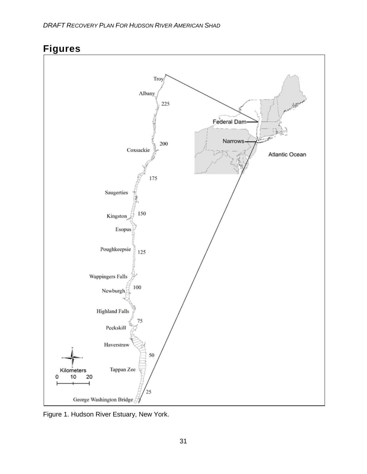

# **Figures**

Figure 1. Hudson River Estuary, New York.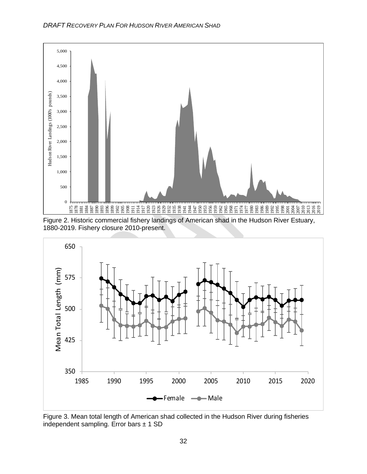





Figure 3. Mean total length of American shad collected in the Hudson River during fisheries independent sampling. Error bars  $\pm$  1 SD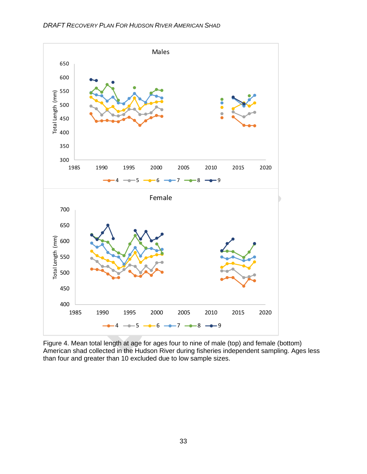

Figure 4. Mean total length at age for ages four to nine of male (top) and female (bottom) American shad collected in the Hudson River during fisheries independent sampling. Ages less than four and greater than 10 excluded due to low sample sizes.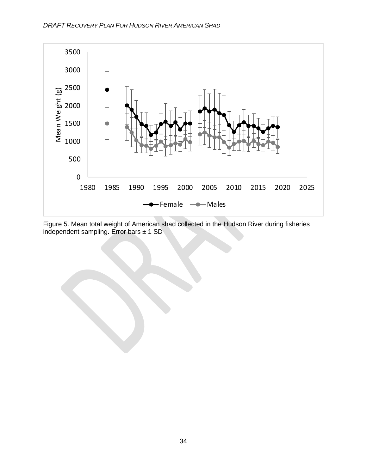